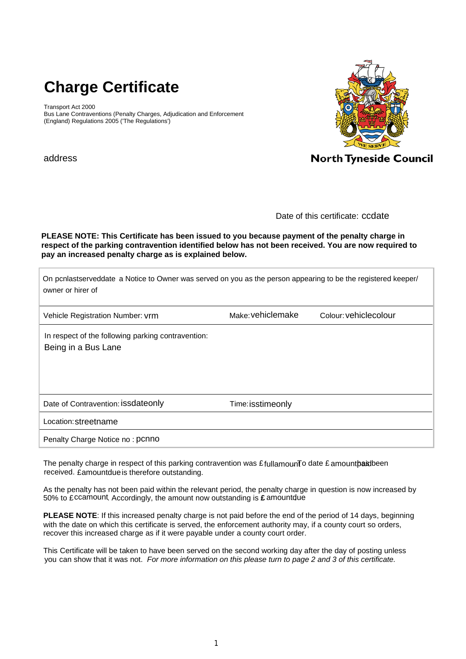# **Charge Certificate**

Transport Act 2000 Bus Lane Contraventions (Penalty Charges, Adjudication and Enforcement (England) Regulations 2005 ('The Regulations')



address

Date of this certificate: ccdate

**PLEASE NOTE: This Certificate has been issued to you because payment of the penalty charge in respect of the parking contravention identified below has not been received. You are now required to pay an increased penalty charge as is explained below.**

| On pcnlastserveddate a Notice to Owner was served on you as the person appearing to be the registered keeper/<br>owner or hirer of |                   |                       |
|------------------------------------------------------------------------------------------------------------------------------------|-------------------|-----------------------|
| Vehicle Registration Number: vrm                                                                                                   | Make: vehiclemake | Colour: vehiclecolour |
| In respect of the following parking contravention:<br>Being in a Bus Lane                                                          |                   |                       |
| Date of Contravention: issdateonly                                                                                                 | Time: isstimeonly |                       |
| Location: streetname                                                                                                               |                   |                       |
| Penalty Charge Notice no: pcnno                                                                                                    |                   |                       |

The penalty charge in respect of this parking contravention was  $\pounds$  fullamounTo date  $\pounds$  amount $\pmb{\text{paid}}$ been received. £amountdue is therefore outstanding.

As the penalty has not been paid within the relevant period, the penalty charge in question is now increased by 50% to £ccamount Accordingly, the amount now outstanding is £ amountdue

**PLEASE NOTE**: If this increased penalty charge is not paid before the end of the period of 14 days, beginning with the date on which this certificate is served, the enforcement authority may, if a county court so orders, recover this increased charge as if it were payable under a county court order.

This Certificate will be taken to have been served on the second working day after the day of posting unless you can show that it was not. *For more information on this please turn to page 2 and 3 of this certificate.*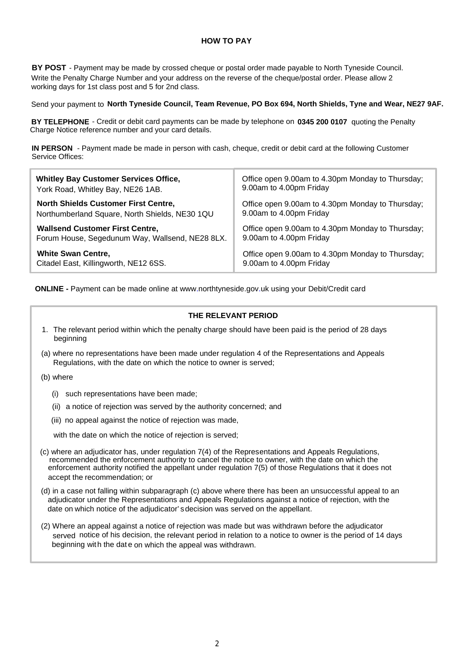#### **HOW TO PAY**

**BY POST** - Payment may be made by crossed cheque or postal order made payable to North Tyneside Council. Write the Penalty Charge Number and your address on the reverse of the cheque/postal order. Please allow 2 working days for 1st class post and 5 for 2nd class.

Send your payment to North Tyneside Council, Team Revenue, PO Box 694, North Shields, Tyne and Wear, NE27 9AF.

BY TELEPHONE - Credit or debit card payments can be made by telephone on 0345 200 0107 quoting the Penalty Charge Notice reference number and your card details.

IN PERSON - Payment made be made in person with cash, cheque, credit or debit card at the following Customer Service Offices:

| <b>Whitley Bay Customer Services Office,</b>    | Office open 9.00am to 4.30pm Monday to Thursday; |
|-------------------------------------------------|--------------------------------------------------|
| York Road, Whitley Bay, NE26 1AB.               | 9.00am to 4.00pm Friday                          |
| <b>North Shields Customer First Centre,</b>     | Office open 9.00am to 4.30pm Monday to Thursday; |
| Northumberland Square, North Shields, NE30 1QU  | 9.00am to 4.00pm Friday                          |
| <b>Wallsend Customer First Centre,</b>          | Office open 9.00am to 4.30pm Monday to Thursday; |
| Forum House, Segedunum Way, Wallsend, NE28 8LX. | 9.00am to 4.00pm Friday                          |
| <b>White Swan Centre,</b>                       | Office open 9.00am to 4.30pm Monday to Thursday; |
| Citadel East, Killingworth, NE12 6SS.           | 9.00am to 4.00pm Friday                          |

**ONLINE -** Payment can be made online at www.northtyneside.gov.uk using your Debit/Credit card

#### **THE RELEVANT PERIOD**

- 1. The relevant period within which the penalty charge should have been paid is the period of 28 days beginning
- (a) where no representations have been made under regulation 4 of the Representations and Appeals Regulations, with the date on which the notice to owner is served;
- (b) where
	- (i) such representations have been made;
	- (ii) a notice of rejection was served by the authority concerned; and
	- (iii) no appeal against the notice of rejection was made,

with the date on which the notice of rejection is served;

- (c) where an adjudicator has, under regulation 7(4) of the Representations and Appeals Regulations, recommended the enforcement authority to cancel the notice to owner, with the date on which the enforcement authority notified the appellant under regulation 7(5) of those Regulations that it does not accept the recommendation; or
- (d) in a case not falling within subparagraph (c) above where there has been an unsuccessful appeal to an adjudicator under the Representations and Appeals Regulations against a notice of rejection, with the date on which notice of the adjudicator'sdecision was served on the appellant.
- (2) Where an appeal against a notice of rejection was made but was withdrawn before the adjudicator served notice of his decision, the relevant period in relation to a notice to owner is the period of 14 days beginning with the dat e on which the appeal was withdrawn.